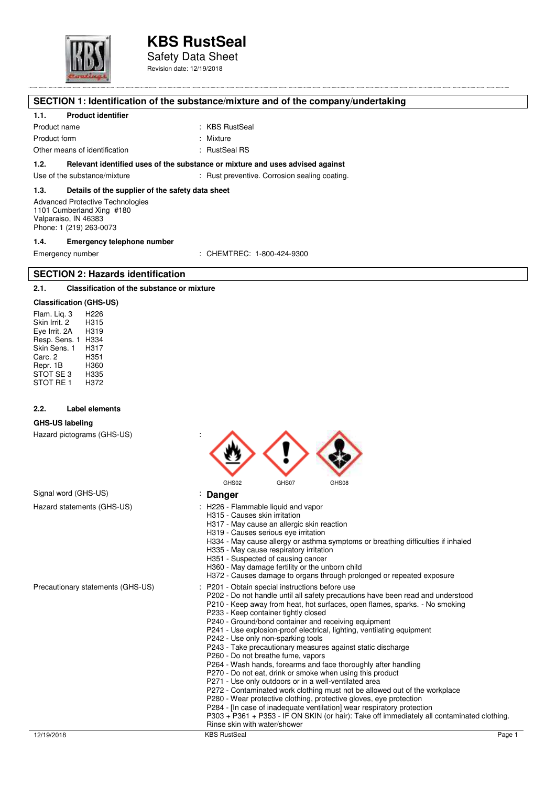

Safety Data Sheet Revision date: 12/19/2018

### **SECTION 1: Identification of the substance/mixture and of the company/undertaking**

#### **1.1. Product identifier**

Product name : KBS RustSeal Product form : Nixture : Mixture

Other means of identification : RustSeal RS

**1.2. Relevant identified uses of the substance or mixture and uses advised against** 

Use of the substance/mixture : example : Rust preventive. Corrosion sealing coating

### **1.3. Details of the supplier of the safety data sheet**

Advanced Protective Technologies 1101 Cumberland Xing #180 Valparaiso, IN 46383 Phone: 1 (219) 263-0073

#### **1.4. Emergency telephone number**

Emergency number : CHEMTREC: 1-800-424-9300

#### **SECTION 2: Hazards identification**

#### **2.1. Classification of the substance or mixture**

#### **Classification (GHS-US)**

Flam. Liq. 3 H226 Skin Irrit. 2 H315<br>Fve Irrit. 2A H319 Eye Irrit. 2A Resp. Sens. 1 H334 Skin Sens. 1 H317<br>Carc 2 H351 Carc. 2 H351<br>Repr. 1B H360 Repr. 1B H360 STOT SE 3 H335<br>STOT RE 1 H372 STOT RE1

#### **2.2. Label elements**

#### **GHS-US labeling**

Hazard pictograms (GHS-US) : GHS02 GHS07 GHS08 Signal word (GHS-US) **by a strategies of the US** contract **Danger C** Hazard statements (GHS-US)  $\qquad \qquad$ : H226 - Flammable liquid and vapor H315 - Causes skin irritation H317 - May cause an allergic skin reaction H319 - Causes serious eye irritation H334 - May cause allergy or asthma symptoms or breathing difficulties if inhaled H335 - May cause respiratory irritation H351 - Suspected of causing cancer H360 - May damage fertility or the unborn child H372 - Causes damage to organs through prolonged or repeated exposure Precautionary statements (GHS-US) : P201 - Obtain special instructions before use P202 - Do not handle until all safety precautions have been read and understood P210 - Keep away from heat, hot surfaces, open flames, sparks. - No smoking P233 - Keep container tightly closed P240 - Ground/bond container and receiving equipment P241 - Use explosion-proof electrical, lighting, ventilating equipment P242 - Use only non-sparking tools P243 - Take precautionary measures against static discharge P260 - Do not breathe fume, vapors P264 - Wash hands, forearms and face thoroughly after handling P270 - Do not eat, drink or smoke when using this product P271 - Use only outdoors or in a well-ventilated area P272 - Contaminated work clothing must not be allowed out of the workplace P280 - Wear protective clothing, protective gloves, eye protection P284 - [In case of inadequate ventilation] wear respiratory protection P303 + P361 + P353 - IF ON SKIN (or hair): Take off immediately all contaminated clothing. Rinse skin with water/shower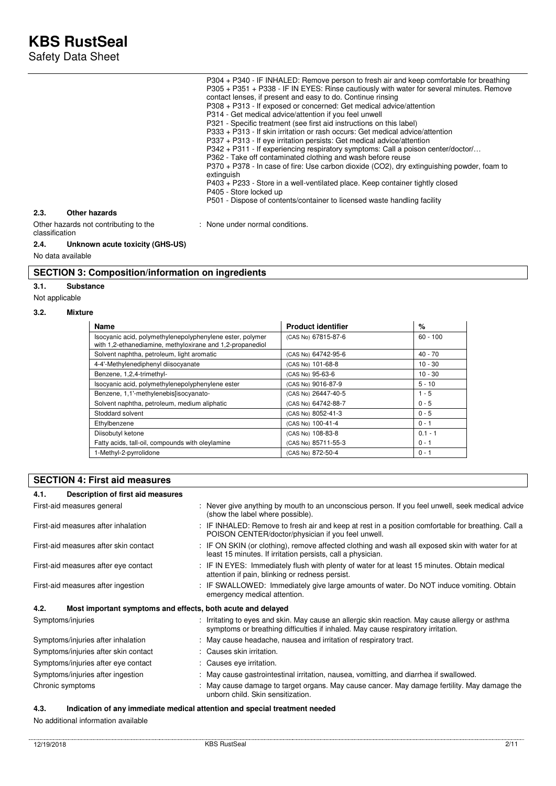Safety Data Sheet

|                                                         | P304 + P340 - IF INHALED: Remove person to fresh air and keep comfortable for breathing    |
|---------------------------------------------------------|--------------------------------------------------------------------------------------------|
|                                                         | P305 + P351 + P338 - IF IN EYES: Rinse cautiously with water for several minutes. Remove   |
|                                                         | contact lenses, if present and easy to do. Continue rinsing                                |
|                                                         | P308 + P313 - If exposed or concerned: Get medical advice/attention                        |
|                                                         | P314 - Get medical advice/attention if you feel unwell                                     |
|                                                         | P321 - Specific treatment (see first aid instructions on this label)                       |
|                                                         | P333 + P313 - If skin irritation or rash occurs: Get medical advice/attention              |
|                                                         | P337 + P313 - If eye irritation persists: Get medical advice/attention                     |
|                                                         | P342 + P311 - If experiencing respiratory symptoms: Call a poison center/doctor/           |
|                                                         | P362 - Take off contaminated clothing and wash before reuse                                |
|                                                         | P370 + P378 - In case of fire: Use carbon dioxide (CO2), dry extinguishing powder, foam to |
|                                                         | extinguish                                                                                 |
|                                                         | P403 + P233 - Store in a well-ventilated place. Keep container tightly closed              |
|                                                         | P405 - Store locked up                                                                     |
|                                                         | P501 - Dispose of contents/container to licensed waste handling facility                   |
| Other hazards<br>2.3.                                   |                                                                                            |
| Other hazards not contributing to the<br>classification | : None under normal conditions.                                                            |
| Unknown acute toxicity (GHS-US)<br>2.4.                 |                                                                                            |
| No data available                                       |                                                                                            |
|                                                         |                                                                                            |

## **SECTION 3: Composition/information on ingredients**

**3.1. Substance** 

Not applicable

#### **3.2. Mixture**

| <b>Name</b>                                                                                                            | <b>Product identifier</b> | %          |
|------------------------------------------------------------------------------------------------------------------------|---------------------------|------------|
| Isocyanic acid, polymethylenepolyphenylene ester, polymer<br>with 1,2-ethanediamine, methyloxirane and 1,2-propanediol | (CAS No) 67815-87-6       | $60 - 100$ |
| Solvent naphtha, petroleum, light aromatic                                                                             | (CAS No) 64742-95-6       | 40 - 70    |
| 4-4'-Methylenediphenyl diisocyanate                                                                                    | (CAS No) 101-68-8         | $10 - 30$  |
| Benzene, 1,2,4-trimethyl-                                                                                              | (CAS No) 95-63-6          | $10 - 30$  |
| Isocyanic acid, polymethylenepolyphenylene ester                                                                       | (CAS No) 9016-87-9        | $5 - 10$   |
| Benzene, 1,1'-methylenebis[isocyanato-                                                                                 | (CAS No) 26447-40-5       | $1 - 5$    |
| Solvent naphtha, petroleum, medium aliphatic                                                                           | (CAS No) 64742-88-7       | $0 - 5$    |
| Stoddard solvent                                                                                                       | (CAS No) 8052-41-3        | $0 - 5$    |
| Ethylbenzene                                                                                                           | (CAS No) 100-41-4         | $0 - 1$    |
| Diisobutyl ketone                                                                                                      | (CAS No) 108-83-8         | $0.1 - 1$  |
| Fatty acids, tall-oil, compounds with oleylamine                                                                       | (CAS No) 85711-55-3       | $0 - 1$    |
| 1-Methyl-2-pyrrolidone                                                                                                 | (CAS No) 872-50-4         | $0 - 1$    |

### **SECTION 4: First aid measures**

| Description of first aid measures<br>4.1.                           |                                                                                                                                                                                     |
|---------------------------------------------------------------------|-------------------------------------------------------------------------------------------------------------------------------------------------------------------------------------|
| First-aid measures general                                          | : Never give anything by mouth to an unconscious person. If you feel unwell, seek medical advice<br>(show the label where possible).                                                |
| First-aid measures after inhalation                                 | : IF INHALED: Remove to fresh air and keep at rest in a position comfortable for breathing. Call a<br>POISON CENTER/doctor/physician if you feel unwell.                            |
| First-aid measures after skin contact                               | : IF ON SKIN (or clothing), remove affected clothing and wash all exposed skin with water for at<br>least 15 minutes. If irritation persists, call a physician.                     |
| First-aid measures after eye contact                                | : IF IN EYES: Immediately flush with plenty of water for at least 15 minutes. Obtain medical<br>attention if pain, blinking or redness persist.                                     |
| First-aid measures after ingestion                                  | : IF SWALLOWED: Immediately give large amounts of water. Do NOT induce vomiting. Obtain<br>emergency medical attention.                                                             |
| 4.2.<br>Most important symptoms and effects, both acute and delayed |                                                                                                                                                                                     |
| Symptoms/injuries                                                   | : Irritating to eyes and skin. May cause an allergic skin reaction. May cause allergy or asthma<br>symptoms or breathing difficulties if inhaled. May cause respiratory irritation. |
| Symptoms/injuries after inhalation                                  | : May cause headache, nausea and irritation of respiratory tract.                                                                                                                   |
| Symptoms/injuries after skin contact                                | : Causes skin irritation.                                                                                                                                                           |
| Symptoms/injuries after eye contact                                 | : Causes eye irritation.                                                                                                                                                            |
| Symptoms/injuries after ingestion                                   | : May cause gastrointestinal irritation, nausea, vomitting, and diarrhea if swallowed.                                                                                              |
| Chronic symptoms                                                    | : May cause damage to target organs. May cause cancer. May damage fertility. May damage the<br>unborn child. Skin sensitization.                                                    |

## **4.3. Indication of any immediate medical attention and special treatment needed**

No additional information available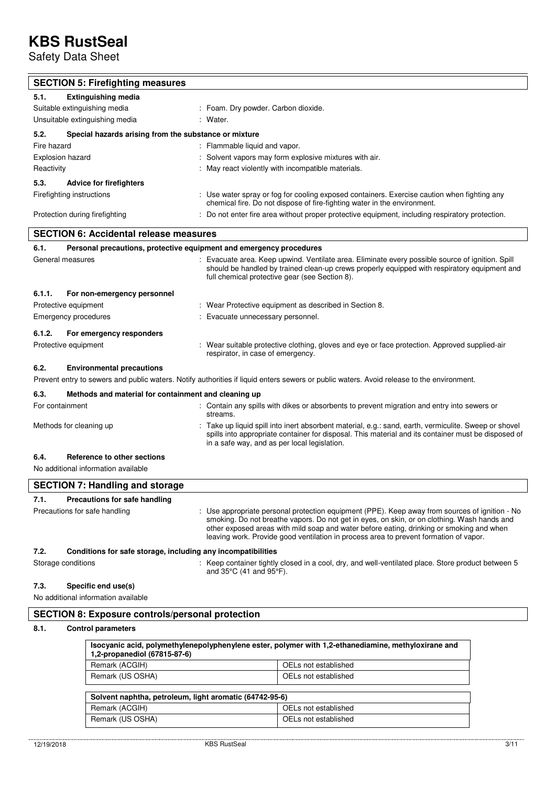Safety Data Sheet

| <b>SECTION 5: Firefighting measures</b>                              |                                                                                                                                                                                                                                                                                                                                                                                    |
|----------------------------------------------------------------------|------------------------------------------------------------------------------------------------------------------------------------------------------------------------------------------------------------------------------------------------------------------------------------------------------------------------------------------------------------------------------------|
| 5.1.<br><b>Extinguishing media</b>                                   |                                                                                                                                                                                                                                                                                                                                                                                    |
| Suitable extinguishing media                                         | : Foam. Dry powder. Carbon dioxide.                                                                                                                                                                                                                                                                                                                                                |
| Unsuitable extinguishing media                                       | Water.                                                                                                                                                                                                                                                                                                                                                                             |
| 5.2.<br>Special hazards arising from the substance or mixture        |                                                                                                                                                                                                                                                                                                                                                                                    |
| Fire hazard                                                          | : Flammable liquid and vapor.                                                                                                                                                                                                                                                                                                                                                      |
| Explosion hazard                                                     | Solvent vapors may form explosive mixtures with air.                                                                                                                                                                                                                                                                                                                               |
| Reactivity                                                           | May react violently with incompatible materials.                                                                                                                                                                                                                                                                                                                                   |
| 5.3.<br><b>Advice for firefighters</b>                               |                                                                                                                                                                                                                                                                                                                                                                                    |
| Firefighting instructions                                            | : Use water spray or fog for cooling exposed containers. Exercise caution when fighting any<br>chemical fire. Do not dispose of fire-fighting water in the environment.                                                                                                                                                                                                            |
| Protection during firefighting                                       | : Do not enter fire area without proper protective equipment, including respiratory protection.                                                                                                                                                                                                                                                                                    |
| <b>SECTION 6: Accidental release measures</b>                        |                                                                                                                                                                                                                                                                                                                                                                                    |
| 6.1.                                                                 | Personal precautions, protective equipment and emergency procedures                                                                                                                                                                                                                                                                                                                |
| General measures                                                     | : Evacuate area. Keep upwind. Ventilate area. Eliminate every possible source of ignition. Spill<br>should be handled by trained clean-up crews properly equipped with respiratory equipment and<br>full chemical protective gear (see Section 8).                                                                                                                                 |
| 6.1.1.<br>For non-emergency personnel                                |                                                                                                                                                                                                                                                                                                                                                                                    |
| Protective equipment                                                 | : Wear Protective equipment as described in Section 8.                                                                                                                                                                                                                                                                                                                             |
| Emergency procedures                                                 | Evacuate unnecessary personnel.                                                                                                                                                                                                                                                                                                                                                    |
| 6.1.2.<br>For emergency responders                                   |                                                                                                                                                                                                                                                                                                                                                                                    |
| Protective equipment                                                 | : Wear suitable protective clothing, gloves and eye or face protection. Approved supplied-air<br>respirator, in case of emergency.                                                                                                                                                                                                                                                 |
| 6.2.<br><b>Environmental precautions</b>                             |                                                                                                                                                                                                                                                                                                                                                                                    |
|                                                                      | Prevent entry to sewers and public waters. Notify authorities if liquid enters sewers or public waters. Avoid release to the environment.                                                                                                                                                                                                                                          |
| 6.3.<br>Methods and material for containment and cleaning up         |                                                                                                                                                                                                                                                                                                                                                                                    |
| For containment                                                      | Contain any spills with dikes or absorbents to prevent migration and entry into sewers or<br>streams.                                                                                                                                                                                                                                                                              |
| Methods for cleaning up                                              | Take up liquid spill into inert absorbent material, e.g.: sand, earth, vermiculite. Sweep or shovel<br>spills into appropriate container for disposal. This material and its container must be disposed of<br>in a safe way, and as per local legislation.                                                                                                                         |
| 6.4.<br>Reference to other sections                                  |                                                                                                                                                                                                                                                                                                                                                                                    |
| No additional information available                                  |                                                                                                                                                                                                                                                                                                                                                                                    |
| <b>SECTION 7: Handling and storage</b>                               |                                                                                                                                                                                                                                                                                                                                                                                    |
| 7.1.<br><b>Precautions for safe handling</b>                         |                                                                                                                                                                                                                                                                                                                                                                                    |
| Precautions for safe handling                                        | : Use appropriate personal protection equipment (PPE). Keep away from sources of ignition - No<br>smoking. Do not breathe vapors. Do not get in eyes, on skin, or on clothing. Wash hands and<br>other exposed areas with mild soap and water before eating, drinking or smoking and when<br>leaving work. Provide good ventilation in process area to prevent formation of vapor. |
| 7.2.<br>Conditions for safe storage, including any incompatibilities |                                                                                                                                                                                                                                                                                                                                                                                    |
| Storage conditions                                                   | : Keep container tightly closed in a cool, dry, and well-ventilated place. Store product between 5<br>and 35°C (41 and 95°F).                                                                                                                                                                                                                                                      |
| 7.3.<br>Specific end use(s)                                          |                                                                                                                                                                                                                                                                                                                                                                                    |
| No additional information available                                  |                                                                                                                                                                                                                                                                                                                                                                                    |

## **8.1. Control parameters**

| Isocyanic acid, polymethylenepolyphenylene ester, polymer with 1,2-ethanediamine, methyloxirane and<br>1,2-propanediol (67815-87-6) |                      |
|-------------------------------------------------------------------------------------------------------------------------------------|----------------------|
| Remark (ACGIH)                                                                                                                      | OELs not established |
| Remark (US OSHA)                                                                                                                    | OELs not established |
| Solvent naphtha, petroleum, light aromatic (64742-95-6)                                                                             |                      |
| Remark (ACGIH)                                                                                                                      | OELs not established |
| Remark (US OSHA)                                                                                                                    | OELs not established |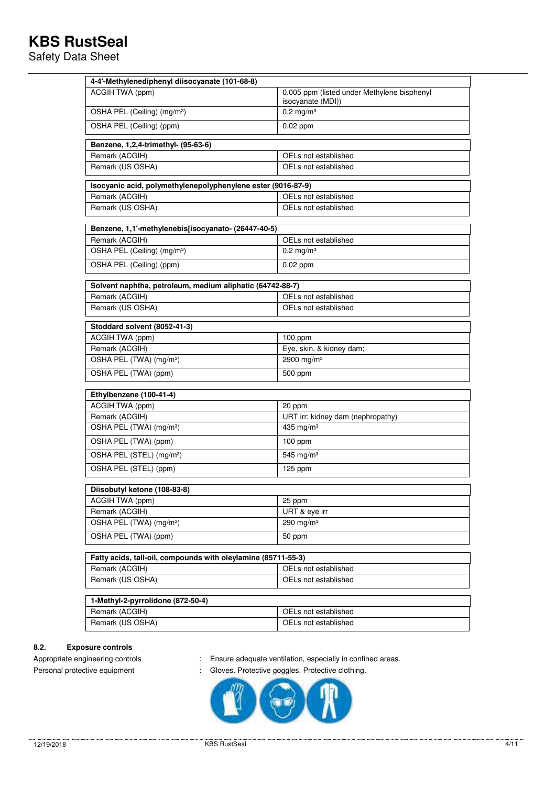Safety Data Sheet

| 4-4'-Methylenediphenyl diisocyanate (101-68-8)                |                                                                  |  |  |
|---------------------------------------------------------------|------------------------------------------------------------------|--|--|
| ACGIH TWA (ppm)                                               | 0.005 ppm (listed under Methylene bisphenyl<br>isocyanate (MDI)) |  |  |
| OSHA PEL (Ceiling) (mg/m <sup>3</sup> )                       | $0.2$ mg/m <sup>3</sup>                                          |  |  |
| OSHA PEL (Ceiling) (ppm)                                      | $0.02$ ppm                                                       |  |  |
| Benzene, 1,2,4-trimethyl- (95-63-6)                           |                                                                  |  |  |
| Remark (ACGIH)                                                | OELs not established                                             |  |  |
| Remark (US OSHA)<br>OELs not established                      |                                                                  |  |  |
| Isocyanic acid, polymethylenepolyphenylene ester (9016-87-9)  |                                                                  |  |  |
| Remark (ACGIH)                                                | OELs not established                                             |  |  |
| Remark (US OSHA)                                              | OELs not established                                             |  |  |
| Benzene, 1,1'-methylenebis[isocyanato- (26447-40-5)           |                                                                  |  |  |
| Remark (ACGIH)                                                | OELs not established                                             |  |  |
| OSHA PEL (Ceiling) (mg/m <sup>3</sup> )                       | $0.2 \text{ mg/m}^3$                                             |  |  |
| OSHA PEL (Ceiling) (ppm)                                      | $0.02$ ppm                                                       |  |  |
| Solvent naphtha, petroleum, medium aliphatic (64742-88-7)     |                                                                  |  |  |
| Remark (ACGIH)                                                | OELs not established                                             |  |  |
| Remark (US OSHA)                                              | OELs not established                                             |  |  |
| Stoddard solvent (8052-41-3)                                  |                                                                  |  |  |
| ACGIH TWA (ppm)                                               | 100 ppm                                                          |  |  |
| Remark (ACGIH)                                                | Eye, skin, & kidney dam;                                         |  |  |
| OSHA PEL (TWA) (mg/m <sup>3</sup> )                           | 2900 mg/m <sup>3</sup>                                           |  |  |
| OSHA PEL (TWA) (ppm)                                          | 500 ppm                                                          |  |  |
| Ethylbenzene (100-41-4)                                       |                                                                  |  |  |
| ACGIH TWA (ppm)                                               | 20 ppm                                                           |  |  |
| Remark (ACGIH)                                                | URT irr; kidney dam (nephropathy)                                |  |  |
| OSHA PEL (TWA) (mg/m <sup>3</sup> )                           | 435 mg/m <sup>3</sup>                                            |  |  |
| OSHA PEL (TWA) (ppm)                                          | $100$ ppm                                                        |  |  |
| OSHA PEL (STEL) (mg/m <sup>3</sup> )                          | 545 mg/m <sup>3</sup>                                            |  |  |
| OSHA PEL (STEL) (ppm)                                         | 125 ppm                                                          |  |  |
| Diisobutyl ketone (108-83-8)                                  |                                                                  |  |  |
| ACGIH TWA (ppm)                                               | 25 ppm                                                           |  |  |
| Remark (ACGIH)                                                | URT & eye irr                                                    |  |  |
| OSHA PEL (TWA) (mg/m <sup>3</sup> )                           | 290 mg/m $3$                                                     |  |  |
| OSHA PEL (TWA) (ppm)                                          | 50 ppm                                                           |  |  |
| Fatty acids, tall-oil, compounds with oleylamine (85711-55-3) |                                                                  |  |  |
| Remark (ACGIH)                                                | OELs not established                                             |  |  |
| Remark (US OSHA)                                              | OELs not established                                             |  |  |
| 1-Methyl-2-pyrrolidone (872-50-4)                             |                                                                  |  |  |
| Remark (ACGIH)                                                | OELs not established                                             |  |  |
| Remark (US OSHA)                                              | OELs not established                                             |  |  |

### **8.2. Exposure controls**

- Appropriate engineering controls : Ensure adequate ventilation, especially in confined areas.
- Personal protective equipment : Gloves. Protective goggles. Protective clothing.

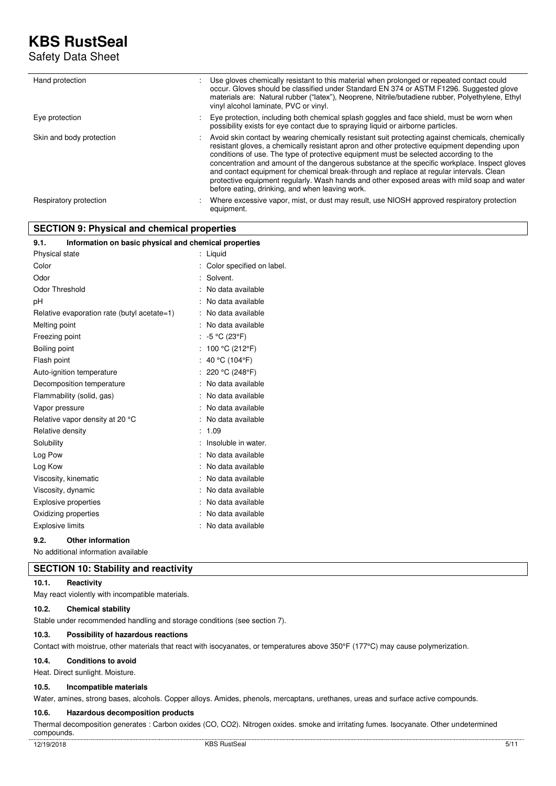Safety Data Sheet

| Hand protection          | Use gloves chemically resistant to this material when prolonged or repeated contact could<br>occur. Gloves should be classified under Standard EN 374 or ASTM F1296. Suggested glove<br>materials are: Natural rubber ("latex"), Neoprene, Nitrile/butadiene rubber, Polyethylene, Ethyl<br>vinyl alcohol laminate, PVC or vinyl.                                                                                                                                                                                                                                                                                                        |
|--------------------------|------------------------------------------------------------------------------------------------------------------------------------------------------------------------------------------------------------------------------------------------------------------------------------------------------------------------------------------------------------------------------------------------------------------------------------------------------------------------------------------------------------------------------------------------------------------------------------------------------------------------------------------|
| Eye protection           | Eye protection, including both chemical splash goggles and face shield, must be worn when<br>possibility exists for eye contact due to spraying liquid or airborne particles.                                                                                                                                                                                                                                                                                                                                                                                                                                                            |
| Skin and body protection | Avoid skin contact by wearing chemically resistant suit protecting against chemicals, chemically<br>resistant gloves, a chemically resistant apron and other protective equipment depending upon<br>conditions of use. The type of protective equipment must be selected according to the<br>concentration and amount of the dangerous substance at the specific workplace. Inspect gloves<br>and contact equipment for chemical break-through and replace at regular intervals. Clean<br>protective equipment regularly. Wash hands and other exposed areas with mild soap and water<br>before eating, drinking, and when leaving work. |
| Respiratory protection   | Where excessive vapor, mist, or dust may result, use NIOSH approved respiratory protection<br>equipment.                                                                                                                                                                                                                                                                                                                                                                                                                                                                                                                                 |

## **SECTION 9: Physical and chemical properties**

| 9.1.<br>Information on basic physical and chemical properties |                      |                           |
|---------------------------------------------------------------|----------------------|---------------------------|
| <b>Physical state</b>                                         | $\ddot{\phantom{a}}$ | Liquid                    |
| Color                                                         |                      | Color specified on label. |
| Odor                                                          |                      | Solvent.                  |
| Odor Threshold                                                |                      | No data available         |
| рH                                                            |                      | No data available         |
| Relative evaporation rate (butyl acetate=1)                   |                      | No data available         |
| Melting point                                                 |                      | No data available         |
| Freezing point                                                |                      | -5 °C (23°F)              |
| Boiling point                                                 |                      | 100 °C (212°F)            |
| Flash point                                                   |                      | 40 °C (104°F)             |
| Auto-ignition temperature                                     |                      | 220 °C (248°F)            |
| Decomposition temperature                                     |                      | No data available         |
| Flammability (solid, gas)                                     |                      | No data available         |
| Vapor pressure                                                |                      | No data available         |
| Relative vapor density at 20 °C                               |                      | No data available         |
| Relative density                                              |                      | 1.09                      |
| Solubility                                                    |                      | Insoluble in water.       |
| Log Pow                                                       |                      | No data available         |
| Log Kow                                                       |                      | No data available         |
| Viscosity, kinematic                                          |                      | No data available         |
| Viscosity, dynamic                                            |                      | No data available         |
| Explosive properties                                          |                      | No data available         |
| Oxidizing properties                                          |                      | No data available         |
| <b>Explosive limits</b>                                       |                      | No data available         |
| ດ າ<br><b>Othor information</b>                               |                      |                           |

#### **9.2. Other information**

No additional information available

## **SECTION 10: Stability and reactivity**

#### **10.1. Reactivity**

May react violently with incompatible materials.

#### **10.2. Chemical stability**

Stable under recommended handling and storage conditions (see section 7).

### **10.3. Possibility of hazardous reactions**

Contact with moistrue, other materials that react with isocyanates, or temperatures above 350°F (177°C) may cause polymerization.

#### **10.4. Conditions to avoid**

Heat. Direct sunlight. Moisture.

#### **10.5. Incompatible materials**

Water, amines, strong bases, alcohols. Copper alloys. Amides, phenols, mercaptans, urethanes, ureas and surface active compounds.

### **10.6. Hazardous decomposition products**

Thermal decomposition generates : Carbon oxides (CO, CO2). Nitrogen oxides. smoke and irritating fumes. Isocyanate. Other undetermined compounds.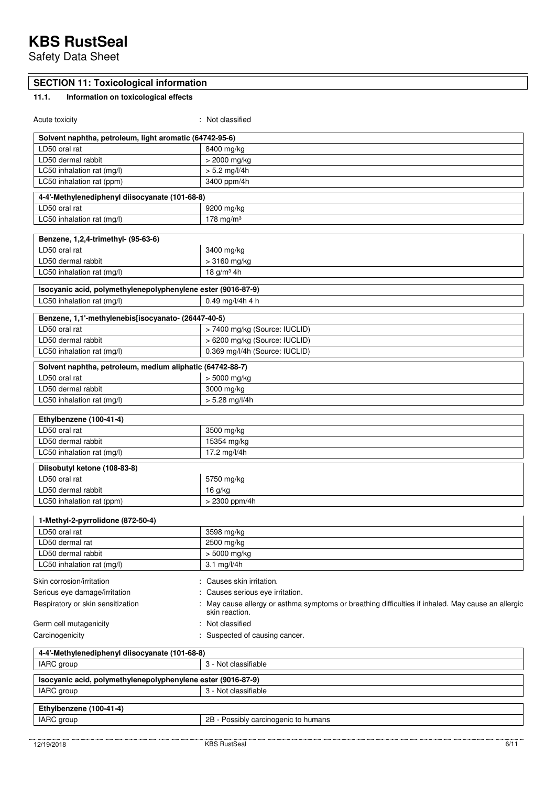Safety Data Sheet

## **SECTION 11: Toxicological information**

# **11.1. Information on toxicological effects**

| Acute toxicity                                                             | : Not classified                                                                                                   |
|----------------------------------------------------------------------------|--------------------------------------------------------------------------------------------------------------------|
| Solvent naphtha, petroleum, light aromatic (64742-95-6)                    |                                                                                                                    |
| LD50 oral rat                                                              | 8400 mg/kg                                                                                                         |
| LD50 dermal rabbit                                                         | > 2000 mg/kg                                                                                                       |
| LC50 inhalation rat (mg/l)                                                 | $> 5.2$ mg/l/4h                                                                                                    |
| LC50 inhalation rat (ppm)                                                  | 3400 ppm/4h                                                                                                        |
| 4-4'-Methylenediphenyl diisocyanate (101-68-8)                             |                                                                                                                    |
| LD50 oral rat                                                              | 9200 mg/kg                                                                                                         |
| LC50 inhalation rat (mg/l)                                                 | 178 mg/m $3$                                                                                                       |
|                                                                            |                                                                                                                    |
| Benzene, 1,2,4-trimethyl- (95-63-6)                                        |                                                                                                                    |
| LD50 oral rat                                                              | 3400 mg/kg                                                                                                         |
| LD50 dermal rabbit                                                         | > 3160 mg/kg                                                                                                       |
| LC50 inhalation rat (mg/l)                                                 | 18 $g/m^3$ 4h                                                                                                      |
| Isocyanic acid, polymethylenepolyphenylene ester (9016-87-9)               |                                                                                                                    |
| LC50 inhalation rat (mg/l)                                                 | $0.49$ mg/l/4h 4 h                                                                                                 |
| Benzene, 1,1'-methylenebis[isocyanato- (26447-40-5)                        |                                                                                                                    |
| LD50 oral rat                                                              | > 7400 mg/kg (Source: IUCLID)                                                                                      |
| LD50 dermal rabbit                                                         | > 6200 mg/kg (Source: IUCLID)                                                                                      |
| LC50 inhalation rat (mg/l)                                                 | 0.369 mg/l/4h (Source: IUCLID)                                                                                     |
|                                                                            |                                                                                                                    |
| Solvent naphtha, petroleum, medium aliphatic (64742-88-7)                  |                                                                                                                    |
| LD50 oral rat                                                              | > 5000 mg/kg                                                                                                       |
| LD50 dermal rabbit                                                         | 3000 mg/kg                                                                                                         |
| LC50 inhalation rat (mg/l)                                                 | $> 5.28$ mg/l/4h                                                                                                   |
| Ethylbenzene (100-41-4)                                                    |                                                                                                                    |
| LD50 oral rat                                                              | 3500 mg/kg                                                                                                         |
| LD50 dermal rabbit                                                         | 15354 mg/kg                                                                                                        |
| LC50 inhalation rat (mg/l)                                                 | 17.2 mg/l/4h                                                                                                       |
| Diisobutyl ketone (108-83-8)                                               |                                                                                                                    |
| LD50 oral rat                                                              | 5750 mg/kg                                                                                                         |
| LD50 dermal rabbit                                                         | 16 g/kg                                                                                                            |
| LC50 inhalation rat (ppm)                                                  | > 2300 ppm/4h                                                                                                      |
|                                                                            |                                                                                                                    |
| 1-Methyl-2-pyrrolidone (872-50-4)                                          |                                                                                                                    |
| LD50 oral rat                                                              | 3598 mg/kg                                                                                                         |
| LD50 dermal rat                                                            | 2500 mg/kg                                                                                                         |
| LD50 dermal rabbit                                                         | > 5000 mg/kg                                                                                                       |
| LC50 inhalation rat (mg/l)                                                 | 3.1 mg/l/4h                                                                                                        |
| Skin corrosion/irritation                                                  | Causes skin irritation.                                                                                            |
| Serious eye damage/irritation                                              | Causes serious eye irritation.                                                                                     |
| Respiratory or skin sensitization                                          | May cause allergy or asthma symptoms or breathing difficulties if inhaled. May cause an allergic<br>skin reaction. |
| Germ cell mutagenicity                                                     | Not classified                                                                                                     |
| Carcinogenicity                                                            | Suspected of causing cancer.                                                                                       |
| 4-4'-Methylenediphenyl diisocyanate (101-68-8)                             |                                                                                                                    |
| IARC group                                                                 | 3 - Not classifiable                                                                                               |
|                                                                            |                                                                                                                    |
| Isocyanic acid, polymethylenepolyphenylene ester (9016-87-9)<br>IARC group | 3 - Not classifiable                                                                                               |
|                                                                            |                                                                                                                    |
| Ethylbenzene (100-41-4)                                                    |                                                                                                                    |
| IARC group                                                                 | 2B - Possibly carcinogenic to humans                                                                               |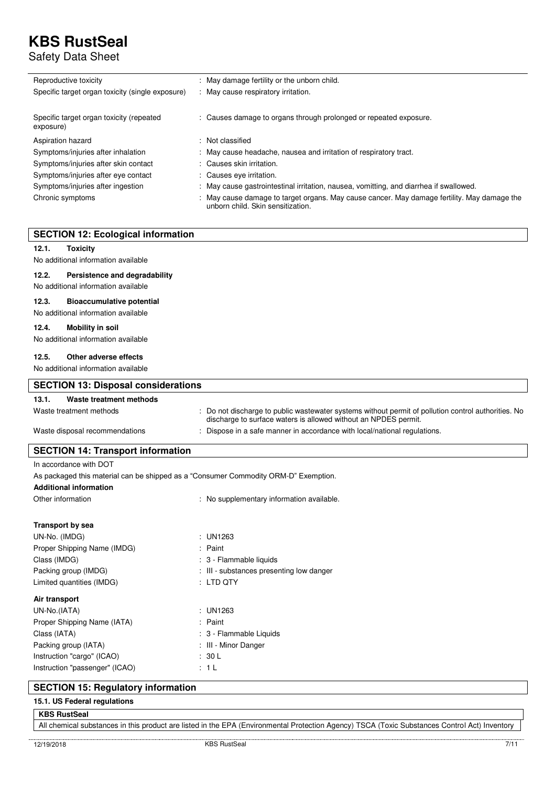Safety Data Sheet

| Reproductive toxicity                                 | : May damage fertility or the unborn child.                                                                                      |
|-------------------------------------------------------|----------------------------------------------------------------------------------------------------------------------------------|
| Specific target organ toxicity (single exposure)      | : May cause respiratory irritation.                                                                                              |
| Specific target organ toxicity (repeated<br>exposure) | : Causes damage to organs through prolonged or repeated exposure.                                                                |
| Aspiration hazard                                     | : Not classified                                                                                                                 |
| Symptoms/injuries after inhalation                    | : May cause headache, nausea and irritation of respiratory tract.                                                                |
| Symptoms/injuries after skin contact                  | : Causes skin irritation.                                                                                                        |
| Symptoms/injuries after eye contact                   | : Causes eve irritation.                                                                                                         |
| Symptoms/injuries after ingestion                     | : May cause gastrointestinal irritation, nausea, vomitting, and diarrhea if swallowed.                                           |
| Chronic symptoms                                      | : May cause damage to target organs. May cause cancer. May damage fertility. May damage the<br>unborn child. Skin sensitization. |

## **SECTION 12: Ecological information**

#### **12.1. Toxicity**

No additional information available

#### **12.2. Persistence and degradability**

No additional information available

#### **12.3. Bioaccumulative potential**

No additional information available

#### **12.4. Mobility in soil**

No additional information available

### **12.5. Other adverse effects**

No additional information available

| <b>SECTION 13: Disposal considerations</b> |                                                                                                                                                                        |  |
|--------------------------------------------|------------------------------------------------------------------------------------------------------------------------------------------------------------------------|--|
| 13.1.<br>Waste treatment methods           |                                                                                                                                                                        |  |
| Waste treatment methods                    | : Do not discharge to public wastewater systems without permit of pollution control authorities. No<br>discharge to surface waters is allowed without an NPDES permit. |  |
| Waste disposal recommendations             | : Dispose in a safe manner in accordance with local/national regulations.                                                                                              |  |

### **SECTION 14: Transport information**

| In accordance with DOT                                                              |                                           |  |  |
|-------------------------------------------------------------------------------------|-------------------------------------------|--|--|
| As packaged this material can be shipped as a "Consumer Commodity ORM-D" Exemption. |                                           |  |  |
| <b>Additional information</b>                                                       |                                           |  |  |
| Other information                                                                   | : No supplementary information available. |  |  |
|                                                                                     |                                           |  |  |
| <b>Transport by sea</b>                                                             |                                           |  |  |
| UN-No. (IMDG)                                                                       | : UN1263                                  |  |  |
| Proper Shipping Name (IMDG)                                                         | : Paint                                   |  |  |
| Class (IMDG)                                                                        | : 3 - Flammable liquids                   |  |  |
| Packing group (IMDG)                                                                | : III - substances presenting low danger  |  |  |
| Limited quantities (IMDG)                                                           | $:$ LTD QTY                               |  |  |
| Air transport                                                                       |                                           |  |  |
| UN-No.(IATA)                                                                        | : UN1263                                  |  |  |
| Proper Shipping Name (IATA)                                                         | : Paint                                   |  |  |
| Class (IATA)                                                                        | : 3 - Flammable Liquids                   |  |  |
| Packing group (IATA)                                                                | : III - Minor Danger                      |  |  |
| Instruction "cargo" (ICAO)                                                          | : 30 L                                    |  |  |
| Instruction "passenger" (ICAO)                                                      | : 1 L                                     |  |  |

## **SECTION 15: Regulatory information**

**15.1. US Federal regulations KBS RustSeal** 

All chemical substances in this product are listed in the EPA (Environmental Protection Agency) TSCA (Toxic Substances Control Act) Inventory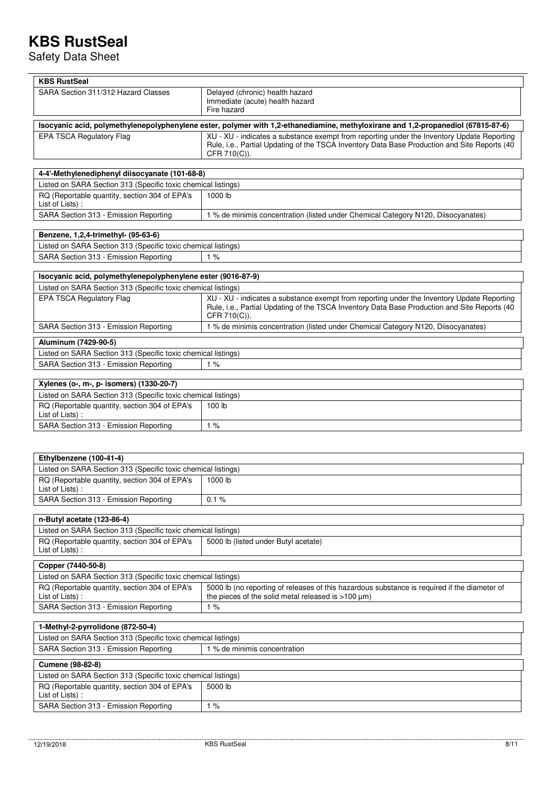Safety Data Sheet

| <b>KBS RustSeal</b>                                                                                                              |                                                                                                                                                                                                            |  |  |
|----------------------------------------------------------------------------------------------------------------------------------|------------------------------------------------------------------------------------------------------------------------------------------------------------------------------------------------------------|--|--|
| SARA Section 311/312 Hazard Classes                                                                                              | Delayed (chronic) health hazard<br>Immediate (acute) health hazard<br>Fire hazard                                                                                                                          |  |  |
| Isocyanic acid, polymethylenepolyphenylene ester, polymer with 1,2-ethanediamine, methyloxirane and 1,2-propanediol (67815-87-6) |                                                                                                                                                                                                            |  |  |
| <b>EPA TSCA Regulatory Flag</b>                                                                                                  | XU - XU - indicates a substance exempt from reporting under the Inventory Update Reporting<br>Rule, i.e., Partial Updating of the TSCA Inventory Data Base Production and Site Reports (40<br>CFR 710(C)). |  |  |
| 4-4'-Methylenediphenyl diisocyanate (101-68-8)                                                                                   |                                                                                                                                                                                                            |  |  |
| Listed on SARA Section 313 (Specific toxic chemical listings)                                                                    |                                                                                                                                                                                                            |  |  |
| RQ (Reportable quantity, section 304 of EPA's<br>List of Lists):                                                                 | 1000 lb                                                                                                                                                                                                    |  |  |
| SARA Section 313 - Emission Reporting                                                                                            | 1 % de minimis concentration (listed under Chemical Category N120, Diisocyanates)                                                                                                                          |  |  |
| Benzene, 1,2,4-trimethyl- (95-63-6)                                                                                              |                                                                                                                                                                                                            |  |  |
| Listed on SARA Section 313 (Specific toxic chemical listings)                                                                    |                                                                                                                                                                                                            |  |  |
| SARA Section 313 - Emission Reporting                                                                                            | 1%                                                                                                                                                                                                         |  |  |
| Isocyanic acid, polymethylenepolyphenylene ester (9016-87-9)                                                                     |                                                                                                                                                                                                            |  |  |
| Listed on SARA Section 313 (Specific toxic chemical listings)                                                                    |                                                                                                                                                                                                            |  |  |
| EPA TSCA Regulatory Flag                                                                                                         | XU - XU - indicates a substance exempt from reporting under the Inventory Update Reporting<br>Rule, i.e., Partial Updating of the TSCA Inventory Data Base Production and Site Reports (40<br>CFR 710(C)). |  |  |
| SARA Section 313 - Emission Reporting                                                                                            | 1 % de minimis concentration (listed under Chemical Category N120, Diisocyanates)                                                                                                                          |  |  |
| Aluminum (7429-90-5)                                                                                                             |                                                                                                                                                                                                            |  |  |
| Listed on SARA Section 313 (Specific toxic chemical listings)                                                                    |                                                                                                                                                                                                            |  |  |
| SARA Section 313 - Emission Reporting                                                                                            | 1%                                                                                                                                                                                                         |  |  |
| Xylenes (o-, m-, p- isomers) (1330-20-7)                                                                                         |                                                                                                                                                                                                            |  |  |
| Listed on SARA Section 313 (Specific toxic chemical listings)                                                                    |                                                                                                                                                                                                            |  |  |
| RQ (Reportable quantity, section 304 of EPA's<br>List of Lists):                                                                 | 100 lb                                                                                                                                                                                                     |  |  |
| SARA Section 313 - Emission Reporting                                                                                            | 1%                                                                                                                                                                                                         |  |  |
|                                                                                                                                  |                                                                                                                                                                                                            |  |  |
| Ethylbenzene (100-41-4)                                                                                                          |                                                                                                                                                                                                            |  |  |
| Listed on SARA Section 313 (Specific toxic chemical listings)                                                                    |                                                                                                                                                                                                            |  |  |
| RQ (Reportable quantity, section 304 of EPA's<br>List of Lists) :                                                                | 1000 lb                                                                                                                                                                                                    |  |  |
| SARA Section 313 - Emission Reporting                                                                                            | 0.1%                                                                                                                                                                                                       |  |  |
|                                                                                                                                  |                                                                                                                                                                                                            |  |  |
| n-Butyl acetate (123-86-4)                                                                                                       |                                                                                                                                                                                                            |  |  |
| Listed on SARA Section 313 (Specific toxic chemical listings)                                                                    |                                                                                                                                                                                                            |  |  |
| RQ (Reportable quantity, section 304 of EPA's<br>List of Lists):                                                                 | 5000 lb (listed under Butyl acetate)                                                                                                                                                                       |  |  |
| Copper (7440-50-8)                                                                                                               |                                                                                                                                                                                                            |  |  |
| Listed on SARA Section 313 (Specific toxic chemical listings)                                                                    |                                                                                                                                                                                                            |  |  |
| RQ (Reportable quantity, section 304 of EPA's                                                                                    | 5000 lb (no reporting of releases of this hazardous substance is required if the diameter of                                                                                                               |  |  |
| List of Lists):                                                                                                                  | the pieces of the solid metal released is $>100 \mu m$ )                                                                                                                                                   |  |  |
| SARA Section 313 - Emission Reporting                                                                                            | 1%                                                                                                                                                                                                         |  |  |
| 1-Methyl-2-pyrrolidone (872-50-4)                                                                                                |                                                                                                                                                                                                            |  |  |
| Listed on SARA Section 313 (Specific toxic chemical listings)                                                                    |                                                                                                                                                                                                            |  |  |
| SARA Section 313 - Emission Reporting                                                                                            | 1 % de minimis concentration                                                                                                                                                                               |  |  |
| <b>Cumene (98-82-8)</b>                                                                                                          |                                                                                                                                                                                                            |  |  |
| Listed on SARA Section 313 (Specific toxic chemical listings)                                                                    |                                                                                                                                                                                                            |  |  |
| RQ (Reportable quantity, section 304 of EPA's<br>List of Lists) :                                                                | 5000 lb                                                                                                                                                                                                    |  |  |
| SARA Section 313 - Emission Reporting                                                                                            | 1%                                                                                                                                                                                                         |  |  |

 $\overline{\mathbf{r}}$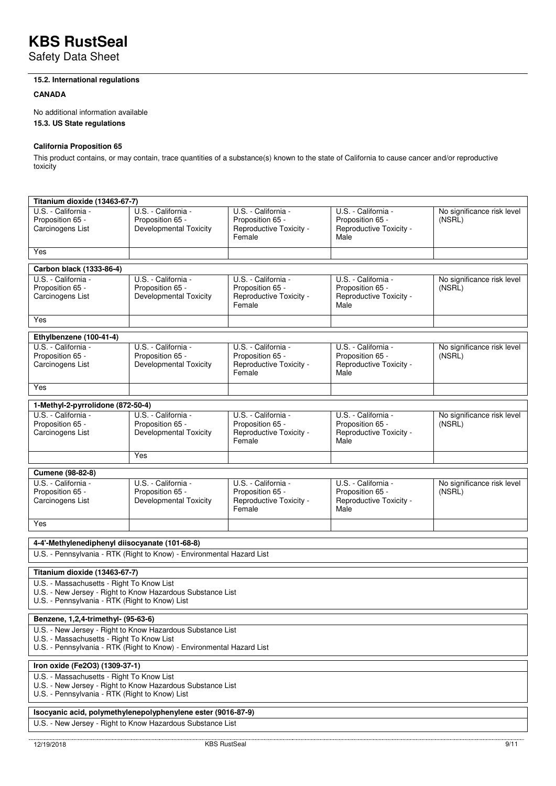Safety Data Sheet

## **15.2. International regulations**

### **CANADA**

No additional information available

**15.3. US State regulations** 

## **California Proposition 65**

This product contains, or may contain, trace quantities of a substance(s) known to the state of California to cause cancer and/or reproductive toxicity

| Titanium dioxide (13463-67-7)                                                                                                                                                    |                                                                          |                                                                              |                                                                            |                                      |  |
|----------------------------------------------------------------------------------------------------------------------------------------------------------------------------------|--------------------------------------------------------------------------|------------------------------------------------------------------------------|----------------------------------------------------------------------------|--------------------------------------|--|
| U.S. - California -<br>Proposition 65 -<br>Carcinogens List                                                                                                                      | U.S. - California -<br>Proposition 65 -<br><b>Developmental Toxicity</b> | U.S. - California -<br>Proposition 65 -<br>Reproductive Toxicity -<br>Female | U.S. - California -<br>Proposition 65 -<br>Reproductive Toxicity -<br>Male | No significance risk level<br>(NSRL) |  |
| Yes                                                                                                                                                                              |                                                                          |                                                                              |                                                                            |                                      |  |
| Carbon black (1333-86-4)                                                                                                                                                         |                                                                          |                                                                              |                                                                            |                                      |  |
| U.S. - California -<br>Proposition 65 -<br>Carcinogens List                                                                                                                      | U.S. - California -<br>Proposition 65 -<br><b>Developmental Toxicity</b> | U.S. - California -<br>Proposition 65 -<br>Reproductive Toxicity -<br>Female | U.S. - California -<br>Proposition 65 -<br>Reproductive Toxicity -<br>Male | No significance risk level<br>(NSRL) |  |
| Yes                                                                                                                                                                              |                                                                          |                                                                              |                                                                            |                                      |  |
| Ethylbenzene (100-41-4)                                                                                                                                                          |                                                                          |                                                                              |                                                                            |                                      |  |
| U.S. - California -<br>Proposition 65 -<br>Carcinogens List                                                                                                                      | U.S. - California -<br>Proposition 65 -<br><b>Developmental Toxicity</b> | U.S. - California -<br>Proposition 65 -<br>Reproductive Toxicity -<br>Female | U.S. - California -<br>Proposition 65 -<br>Reproductive Toxicity -<br>Male | No significance risk level<br>(NSRL) |  |
| Yes                                                                                                                                                                              |                                                                          |                                                                              |                                                                            |                                      |  |
| 1-Methyl-2-pyrrolidone (872-50-4)                                                                                                                                                |                                                                          |                                                                              |                                                                            |                                      |  |
| U.S. - California -<br>Proposition 65 -<br>Carcinogens List                                                                                                                      | U.S. - California -<br>Proposition 65 -<br><b>Developmental Toxicity</b> | U.S. - California -<br>Proposition 65 -<br>Reproductive Toxicity -<br>Female | U.S. - California -<br>Proposition 65 -<br>Reproductive Toxicity -<br>Male | No significance risk level<br>(NSRL) |  |
|                                                                                                                                                                                  | Yes                                                                      |                                                                              |                                                                            |                                      |  |
| Cumene (98-82-8)                                                                                                                                                                 |                                                                          |                                                                              |                                                                            |                                      |  |
| U.S. - California -<br>Proposition 65 -<br>Carcinogens List                                                                                                                      | U.S. - California -<br>Proposition 65 -<br><b>Developmental Toxicity</b> | U.S. - California -<br>Proposition 65 -<br>Reproductive Toxicity -<br>Female | U.S. - California -<br>Proposition 65 -<br>Reproductive Toxicity -<br>Male | No significance risk level<br>(NSRL) |  |
| Yes                                                                                                                                                                              |                                                                          |                                                                              |                                                                            |                                      |  |
|                                                                                                                                                                                  |                                                                          |                                                                              |                                                                            |                                      |  |
| 4-4'-Methylenediphenyl diisocyanate (101-68-8)<br>U.S. - Pennsylvania - RTK (Right to Know) - Environmental Hazard List                                                          |                                                                          |                                                                              |                                                                            |                                      |  |
| Titanium dioxide (13463-67-7)                                                                                                                                                    |                                                                          |                                                                              |                                                                            |                                      |  |
| U.S. - Massachusetts - Right To Know List<br>U.S. - New Jersey - Right to Know Hazardous Substance List<br>U.S. - Pennsylvania - RTK (Right to Know) List                        |                                                                          |                                                                              |                                                                            |                                      |  |
| Benzene, 1,2,4-trimethyl- (95-63-6)                                                                                                                                              |                                                                          |                                                                              |                                                                            |                                      |  |
| U.S. - New Jersey - Right to Know Hazardous Substance List<br>U.S. - Massachusetts - Right To Know List<br>U.S. - Pennsylvania - RTK (Right to Know) - Environmental Hazard List |                                                                          |                                                                              |                                                                            |                                      |  |
| Iron oxide (Fe2O3) (1309-37-1)                                                                                                                                                   |                                                                          |                                                                              |                                                                            |                                      |  |
| U.S. - Massachusetts - Right To Know List<br>U.S. - New Jersey - Right to Know Hazardous Substance List<br>U.S. - Pennsylvania - RTK (Right to Know) List                        |                                                                          |                                                                              |                                                                            |                                      |  |
| Isocyanic acid, polymethylenepolyphenylene ester (9016-87-9)                                                                                                                     |                                                                          |                                                                              |                                                                            |                                      |  |
|                                                                                                                                                                                  | U.S. - New Jersey - Right to Know Hazardous Substance List               |                                                                              |                                                                            |                                      |  |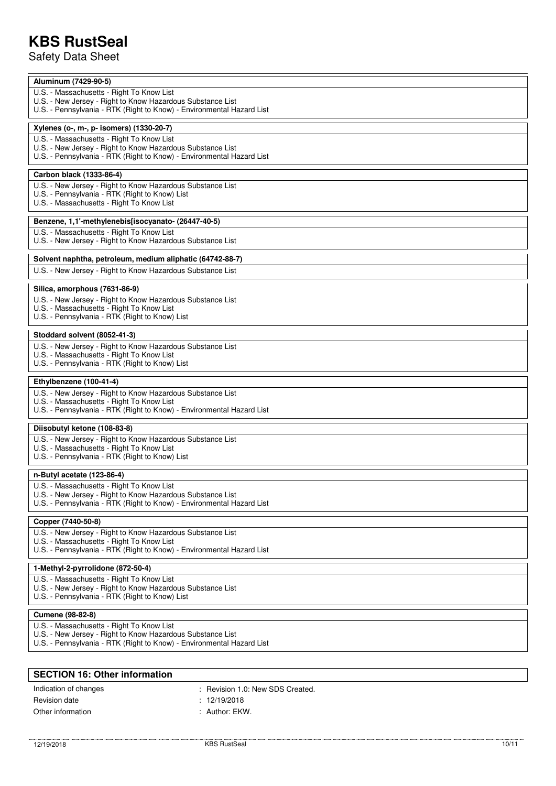Safety Data Sheet

| Aluminum (7429-90-5)                                                                                                                |
|-------------------------------------------------------------------------------------------------------------------------------------|
| U.S. - Massachusetts - Right To Know List                                                                                           |
| U.S. - New Jersey - Right to Know Hazardous Substance List<br>U.S. - Pennsylvania - RTK (Right to Know) - Environmental Hazard List |
|                                                                                                                                     |
| Xylenes (o-, m-, p- isomers) (1330-20-7)                                                                                            |
| U.S. - Massachusetts - Right To Know List                                                                                           |
| U.S. - New Jersey - Right to Know Hazardous Substance List<br>U.S. - Pennsylvania - RTK (Right to Know) - Environmental Hazard List |
|                                                                                                                                     |
| Carbon black (1333-86-4)                                                                                                            |
| U.S. - New Jersey - Right to Know Hazardous Substance List                                                                          |
| U.S. - Pennsylvania - RTK (Right to Know) List<br>U.S. - Massachusetts - Right To Know List                                         |
|                                                                                                                                     |
| Benzene, 1,1'-methylenebis[isocyanato- (26447-40-5)                                                                                 |
| U.S. - Massachusetts - Right To Know List                                                                                           |
| U.S. - New Jersey - Right to Know Hazardous Substance List                                                                          |
| Solvent naphtha, petroleum, medium aliphatic (64742-88-7)                                                                           |
| U.S. - New Jersey - Right to Know Hazardous Substance List                                                                          |
|                                                                                                                                     |
| Silica, amorphous (7631-86-9)                                                                                                       |
| U.S. - New Jersey - Right to Know Hazardous Substance List<br>U.S. - Massachusetts - Right To Know List                             |
| U.S. - Pennsylvania - RTK (Right to Know) List                                                                                      |
|                                                                                                                                     |
| Stoddard solvent (8052-41-3)                                                                                                        |
| U.S. - New Jersey - Right to Know Hazardous Substance List<br>U.S. - Massachusetts - Right To Know List                             |
| U.S. - Pennsylvania - RTK (Right to Know) List                                                                                      |
|                                                                                                                                     |
|                                                                                                                                     |
| Ethylbenzene (100-41-4)                                                                                                             |
| U.S. - New Jersey - Right to Know Hazardous Substance List                                                                          |
| U.S. - Massachusetts - Right To Know List<br>U.S. - Pennsylvania - RTK (Right to Know) - Environmental Hazard List                  |
|                                                                                                                                     |
| Diisobutyl ketone (108-83-8)                                                                                                        |
| U.S. - New Jersey - Right to Know Hazardous Substance List<br>U.S. - Massachusetts - Right To Know List                             |
| U.S. - Pennsylvania - RTK (Right to Know) List                                                                                      |
|                                                                                                                                     |
| n-Butyl acetate (123-86-4)                                                                                                          |
| U.S. - Massachusetts - Right To Know List                                                                                           |
| U.S. - New Jersey - Right to Know Hazardous Substance List<br>U.S. - Pennsylvania - RTK (Right to Know) - Environmental Hazard List |
|                                                                                                                                     |
| Copper (7440-50-8)                                                                                                                  |
| U.S. - New Jersey - Right to Know Hazardous Substance List<br>U.S. - Massachusetts - Right To Know List                             |
| U.S. - Pennsylvania - RTK (Right to Know) - Environmental Hazard List                                                               |
|                                                                                                                                     |
| 1-Methyl-2-pyrrolidone (872-50-4)                                                                                                   |
| U.S. - Massachusetts - Right To Know List<br>U.S. - New Jersey - Right to Know Hazardous Substance List                             |
| U.S. - Pennsylvania - RTK (Right to Know) List                                                                                      |
|                                                                                                                                     |
| Cumene (98-82-8)                                                                                                                    |
| U.S. - Massachusetts - Right To Know List<br>U.S. - New Jersey - Right to Know Hazardous Substance List                             |
| U.S. - Pennsylvania - RTK (Right to Know) - Environmental Hazard List                                                               |

| <b>SECTION 16: Other information</b> |                                |  |
|--------------------------------------|--------------------------------|--|
| Indication of changes                | Revision 1.0: New SDS Created. |  |
| Revision date                        | : 12/19/2018                   |  |
| Other information                    | : Author: $EKW$ .              |  |